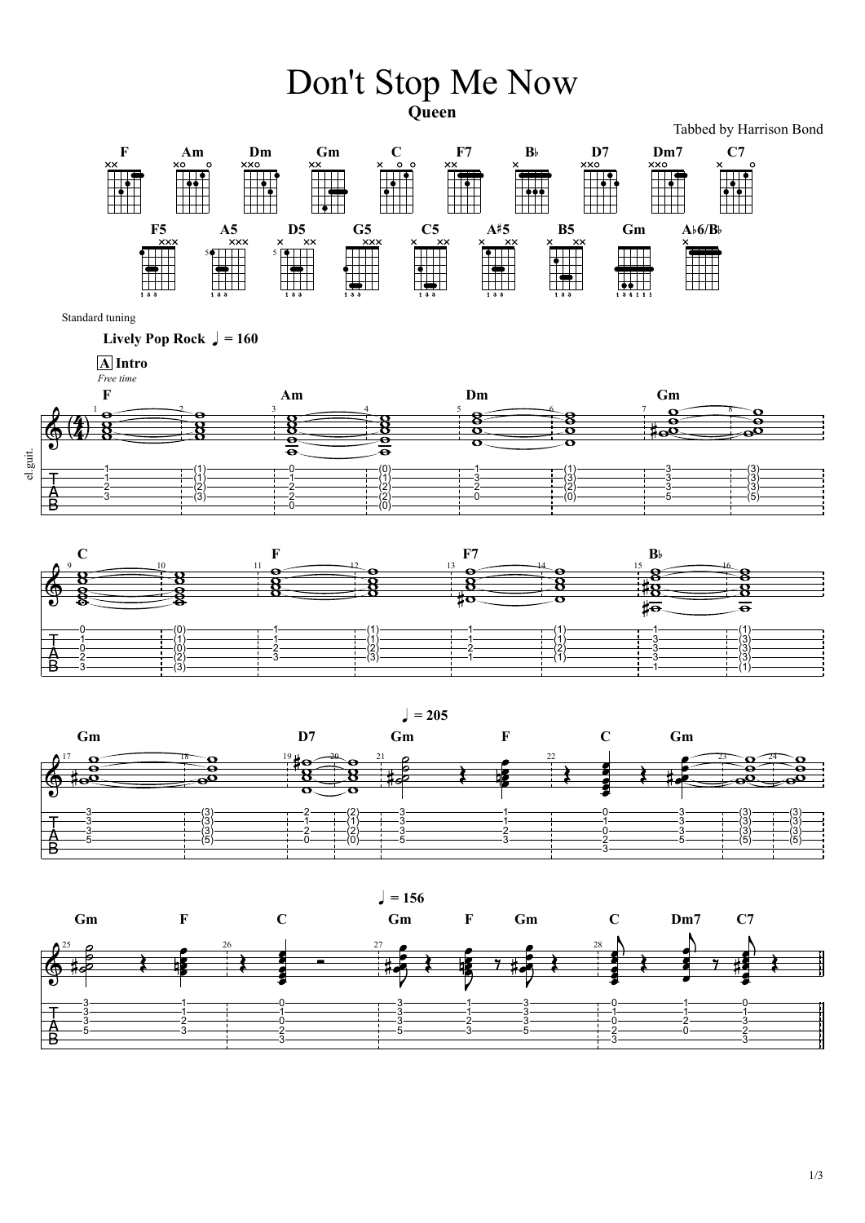## Don't Stop Me Now **Queen**

Tabbed by Harrison Bond



Standard tuning

**Lively Pop Rock**  $\sqrt{ } = 160$ 



*Free time*

**A Intro**



 $= 205$ 



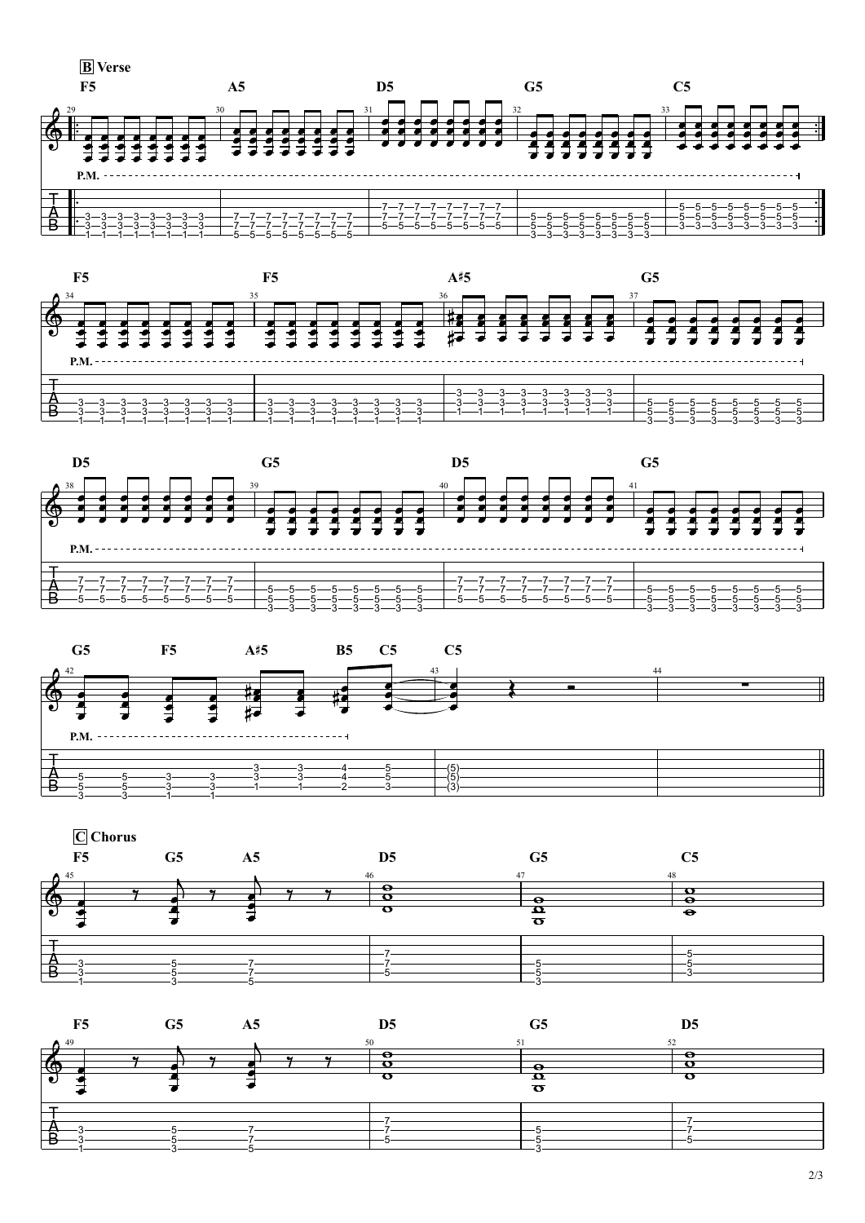2/3











| F5 | G <sub>5</sub> | A <sub>5</sub> | D <sub>5</sub> | G <sub>5</sub> | C <sub>5</sub> |
|----|----------------|----------------|----------------|----------------|----------------|
|    |                | $\sim$         |                |                |                |